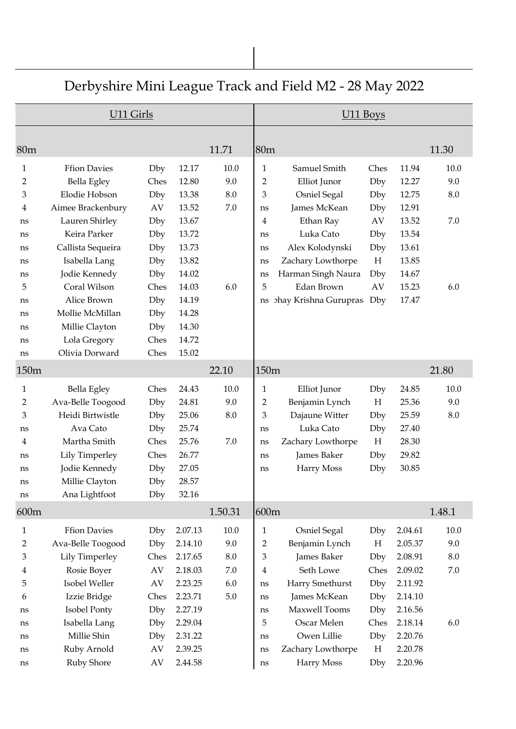|                  | U11 Girls           |                        |         |         |                | U11 Boys              |      |         |         |
|------------------|---------------------|------------------------|---------|---------|----------------|-----------------------|------|---------|---------|
|                  |                     |                        |         |         |                |                       |      |         |         |
| 80m              |                     |                        |         | 11.71   | 80m            |                       |      |         | 11.30   |
| $\mathbf{1}$     | <b>Ffion Davies</b> | Dby                    | 12.17   | 10.0    | $\mathbf{1}$   | Samuel Smith          | Ches | 11.94   | 10.0    |
| 2                | Bella Egley         | Ches                   | 12.80   | 9.0     | 2              | Elliot Junor          | Dby  | 12.27   | 9.0     |
| 3                | Elodie Hobson       | Dby                    | 13.38   | $8.0\,$ | 3              | <b>Osniel Segal</b>   | Dby  | 12.75   | 8.0     |
| 4                | Aimee Brackenbury   | AV                     | 13.52   | $7.0\,$ | ns             | James McKean          | Dby  | 12.91   |         |
| ns               | Lauren Shirley      | Dby                    | 13.67   |         | 4              | Ethan Ray             | AV   | 13.52   | 7.0     |
| ns               | Keira Parker        | Dby                    | 13.72   |         | ns             | Luka Cato             | Dby  | 13.54   |         |
| ns               | Callista Sequeira   | Dby                    | 13.73   |         | ns             | Alex Kolodynski       | Dby  | 13.61   |         |
| ns               | Isabella Lang       | Dby                    | 13.82   |         | ns             | Zachary Lowthorpe     | H    | 13.85   |         |
| ns               | Jodie Kennedy       | Dby                    | 14.02   |         | ns             | Harman Singh Naura    | Dby  | 14.67   |         |
| 5                | Coral Wilson        | Ches                   | 14.03   | 6.0     | 5              | Edan Brown            | AV   | 15.23   | 6.0     |
| ns               | Alice Brown         | Dby                    | 14.19   |         | ns             | phay Krishna Gurupras | Dby  | 17.47   |         |
| ns               | Mollie McMillan     | Dby                    | 14.28   |         |                |                       |      |         |         |
| ns               | Millie Clayton      | Dby                    | 14.30   |         |                |                       |      |         |         |
| ns               | Lola Gregory        | Ches                   | 14.72   |         |                |                       |      |         |         |
| ns               | Olivia Dorward      | Ches                   | 15.02   |         |                |                       |      |         |         |
| 150 <sub>m</sub> |                     |                        |         | 22.10   | 150m           |                       |      |         | 21.80   |
| $\mathbf{1}$     | Bella Egley         | Ches                   | 24.43   | 10.0    | $\mathbf{1}$   | Elliot Junor          | Dby  | 24.85   | 10.0    |
| 2                | Ava-Belle Toogood   | Dby                    | 24.81   | 9.0     | 2              | Benjamin Lynch        | H    | 25.36   | 9.0     |
| 3                | Heidi Birtwistle    | Dby                    | 25.06   | 8.0     | 3              | Dajaune Witter        | Dby  | 25.59   | 8.0     |
| ns               | Ava Cato            | Dby                    | 25.74   |         | ns             | Luka Cato             | Dby  | 27.40   |         |
| 4                | Martha Smith        | Ches                   | 25.76   | 7.0     | ns             | Zachary Lowthorpe     | H    | 28.30   |         |
| ns               | Lily Timperley      | Ches                   | 26.77   |         | ns             | James Baker           | Dby  | 29.82   |         |
| ns               | Jodie Kennedy       | Dby                    | 27.05   |         | ns             | Harry Moss            | Dby  | 30.85   |         |
| ns               | Millie Clayton      | Dby                    | 28.57   |         |                |                       |      |         |         |
| ns               | Ana Lightfoot       | Dby                    | 32.16   |         |                |                       |      |         |         |
| 600m             |                     |                        |         | 1.50.31 | 600m           |                       |      |         | 1.48.1  |
| 1                | <b>Ffion Davies</b> | Dby                    | 2.07.13 | 10.0    | $\mathbf{1}$   | <b>Osniel Segal</b>   | Dby  | 2.04.61 | 10.0    |
| $\overline{2}$   | Ava-Belle Toogood   | Dby                    | 2.14.10 | 9.0     | $\overline{2}$ | Benjamin Lynch        | H    | 2.05.37 | 9.0     |
| 3                | Lily Timperley      | Ches                   | 2.17.65 | $8.0\,$ | 3              | James Baker           | Dby  | 2.08.91 | 8.0     |
| 4                | Rosie Boyer         | $\mathbf{A}\mathbf{V}$ | 2.18.03 | $7.0\,$ | 4              | Seth Lowe             | Ches | 2.09.02 | $7.0\,$ |
| 5                | Isobel Weller       | AV                     | 2.23.25 | 6.0     | ns             | Harry Smethurst       | Dby  | 2.11.92 |         |
| 6                | Izzie Bridge        | Ches                   | 2.23.71 | $5.0\,$ | ns             | James McKean          | Dby  | 2.14.10 |         |
| ns               | Isobel Ponty        | Dby                    | 2.27.19 |         | ns             | Maxwell Tooms         | Dby  | 2.16.56 |         |
| ns               | Isabella Lang       | Dby                    | 2.29.04 |         | 5              | Oscar Melen           | Ches | 2.18.14 | 6.0     |
| ns               | Millie Shin         | Dby                    | 2.31.22 |         | ns             | Owen Lillie           | Dby  | 2.20.76 |         |
| ns               | Ruby Arnold         | AV                     | 2.39.25 |         | ns             | Zachary Lowthorpe     | H    | 2.20.78 |         |
| ns               | Ruby Shore          | AV                     | 2.44.58 |         | ns             | Harry Moss            | Dby  | 2.20.96 |         |

## Derbyshire Mini League Track and Field M2 - 28 May 2022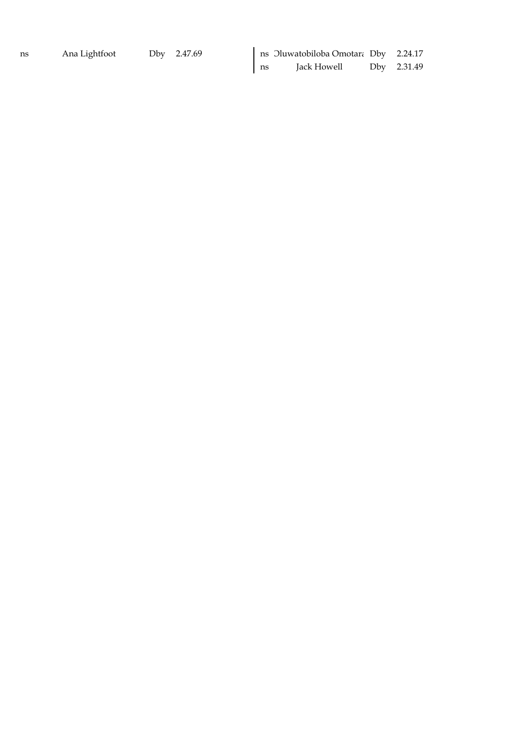ns Jack Howell Dby 2.31.49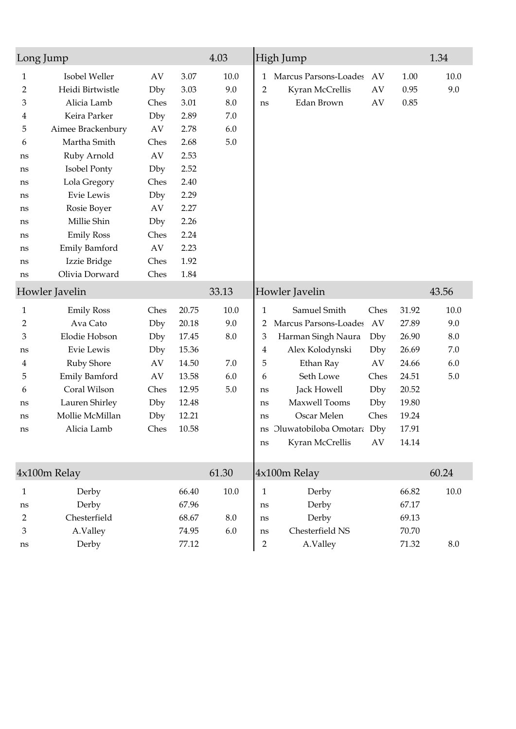| Long Jump                                                                              |                                                                                                                                                                                                                                                                          |                                                                                                               |                                                                                                                              | 4.03                                        | High Jump                                                                                                                                                                                                                                                                                                                                                                                                                                                            | 1.34                                        |
|----------------------------------------------------------------------------------------|--------------------------------------------------------------------------------------------------------------------------------------------------------------------------------------------------------------------------------------------------------------------------|---------------------------------------------------------------------------------------------------------------|------------------------------------------------------------------------------------------------------------------------------|---------------------------------------------|----------------------------------------------------------------------------------------------------------------------------------------------------------------------------------------------------------------------------------------------------------------------------------------------------------------------------------------------------------------------------------------------------------------------------------------------------------------------|---------------------------------------------|
| 1<br>2<br>3<br>4<br>5<br>6<br>ns<br>ns<br>ns<br>ns<br>ns<br>ns<br>ns<br>ns<br>ns<br>ns | Isobel Weller<br>Heidi Birtwistle<br>Alicia Lamb<br>Keira Parker<br>Aimee Brackenbury<br>Martha Smith<br>Ruby Arnold<br>Isobel Ponty<br>Lola Gregory<br>Evie Lewis<br>Rosie Boyer<br>Millie Shin<br><b>Emily Ross</b><br>Emily Bamford<br>Izzie Bridge<br>Olivia Dorward | AV<br>Dby<br>Ches<br>Dby<br>AV<br>Ches<br>AV<br>Dby<br>Ches<br>Dby<br>AV<br>Dby<br>Ches<br>AV<br>Ches<br>Ches | 3.07<br>3.03<br>3.01<br>2.89<br>2.78<br>2.68<br>2.53<br>2.52<br>2.40<br>2.29<br>2.27<br>2.26<br>2.24<br>2.23<br>1.92<br>1.84 | 10.0<br>9.0<br>$8.0\,$<br>7.0<br>6.0<br>5.0 | Marcus Parsons-Loades<br>AV<br>1.00<br>1<br>$\overline{2}$<br>Kyran McCrellis<br>AV<br>0.95<br>Edan Brown<br>AV<br>0.85<br>ns                                                                                                                                                                                                                                                                                                                                        | 10.0<br>9.0                                 |
|                                                                                        | Howler Javelin                                                                                                                                                                                                                                                           |                                                                                                               |                                                                                                                              | 33.13                                       | Howler Javelin                                                                                                                                                                                                                                                                                                                                                                                                                                                       | 43.56                                       |
| 1<br>$\overline{2}$<br>3<br>ns<br>4<br>5<br>6<br>ns<br>ns<br>ns                        | <b>Emily Ross</b><br>Ava Cato<br>Elodie Hobson<br>Evie Lewis<br>Ruby Shore<br><b>Emily Bamford</b><br>Coral Wilson<br>Lauren Shirley<br>Mollie McMillan<br>Alicia Lamb                                                                                                   | Ches<br>Dby<br>Dby<br>Dby<br>AV<br>AV<br>Ches<br>Dby<br>Dby<br>Ches                                           | 20.75<br>20.18<br>17.45<br>15.36<br>14.50<br>13.58<br>12.95<br>12.48<br>12.21<br>10.58                                       | 10.0<br>9.0<br>8.0<br>7.0<br>6.0<br>5.0     | $\mathbf{1}$<br>Samuel Smith<br>Ches<br>31.92<br>Marcus Parsons-Loades<br>27.89<br>AV<br>2<br>3<br>Harman Singh Naura<br>26.90<br>Dby<br>26.69<br>Alex Kolodynski<br>$\overline{4}$<br>Dby<br>5<br>Ethan Ray<br>AV<br>24.66<br>Seth Lowe<br>Ches<br>24.51<br>6<br>Jack Howell<br>Dby<br>20.52<br>ns<br>Maxwell Tooms<br>19.80<br>Dby<br>ns<br>Oscar Melen<br>19.24<br>Ches<br>ns<br>17.91<br>Oluwatobiloba Omotara Dby<br>ns<br>Kyran McCrellis<br>14.14<br>AV<br>ns | 10.0<br>9.0<br>$8.0\,$<br>7.0<br>6.0<br>5.0 |
|                                                                                        | 4x100m Relay                                                                                                                                                                                                                                                             |                                                                                                               |                                                                                                                              | 61.30                                       | 4x100m Relay                                                                                                                                                                                                                                                                                                                                                                                                                                                         | 60.24                                       |
| 1<br>ns<br>2<br>3<br>ns                                                                | Derby<br>Derby<br>Chesterfield<br>A.Valley<br>Derby                                                                                                                                                                                                                      |                                                                                                               | 66.40<br>67.96<br>68.67<br>74.95<br>77.12                                                                                    | $10.0\,$<br>$8.0\,$<br>6.0                  | $\mathbf{1}$<br>Derby<br>66.82<br>Derby<br>67.17<br>ns<br>Derby<br>69.13<br>ns<br>Chesterfield NS<br>70.70<br>ns<br>$\overline{2}$<br>71.32<br>A.Valley                                                                                                                                                                                                                                                                                                              | $10.0\,$<br>$8.0\,$                         |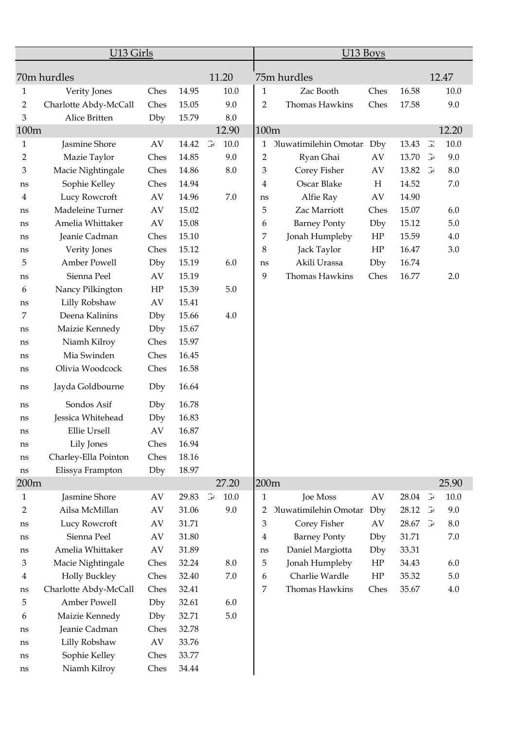|                | U13 Girls             |      |       |                       |         |                | U13 Boys                     |      |       |                       |         |
|----------------|-----------------------|------|-------|-----------------------|---------|----------------|------------------------------|------|-------|-----------------------|---------|
|                | 70m hurdles           |      |       |                       | 11.20   |                | 75m hurdles                  |      |       |                       | 12.47   |
| 1              | Verity Jones          | Ches | 14.95 |                       | 10.0    | 1              | Zac Booth                    | Ches | 16.58 |                       | 10.0    |
| 2              | Charlotte Abdy-McCall | Ches | 15.05 |                       | 9.0     | 2              | Thomas Hawkins               | Ches | 17.58 |                       | 9.0     |
| 3              | Alice Britten         | Dby  | 15.79 |                       | 8.0     |                |                              |      |       |                       |         |
| 100m           |                       |      |       |                       | 12.90   | 100m           |                              |      |       |                       | 12.20   |
| 1              | Jasmine Shore         | AV   | 14.42 | $\mathbb{F}^2$        | $10.0$  | 1              | <b>Jluwatimilehin Omotar</b> | Dby  | 13.43 | $\mathbb{R}$          | 10.0    |
| $\overline{2}$ | Mazie Taylor          | Ches | 14.85 |                       | 9.0     | $\overline{2}$ | Ryan Ghai                    | AV   | 13.70 | $\mathbb{F}^{\prime}$ | 9.0     |
| 3              | Macie Nightingale     | Ches | 14.86 |                       | 8.0     | 3              | Corey Fisher                 | AV   | 13.82 | $\mathbb{F}$          | 8.0     |
| ns             | Sophie Kelley         | Ches | 14.94 |                       |         | $\overline{4}$ | Oscar Blake                  | H    | 14.52 |                       | $7.0\,$ |
| 4              | Lucy Rowcroft         | AV   | 14.96 |                       | 7.0     | ns             | Alfie Ray                    | AV   | 14.90 |                       |         |
| ns             | Madeleine Turner      | AV   | 15.02 |                       |         | 5              | Zac Marriott                 | Ches | 15.07 |                       | 6.0     |
| ns             | Amelia Whittaker      | AV   | 15.08 |                       |         | 6              | <b>Barney Ponty</b>          | Dby  | 15.12 |                       | $5.0\,$ |
| ns             | Jeanie Cadman         | Ches | 15.10 |                       |         | 7              | Jonah Humpleby               | HP   | 15.59 |                       | 4.0     |
| ns             | Verity Jones          | Ches | 15.12 |                       |         | 8              | Jack Taylor                  | HP   | 16.47 |                       | 3.0     |
| 5              | Amber Powell          | Dby  | 15.19 |                       | 6.0     | ns             | Akili Urassa                 | Dby  | 16.74 |                       |         |
| ns             | Sienna Peel           | AV   | 15.19 |                       |         | 9              | Thomas Hawkins               | Ches | 16.77 |                       | 2.0     |
| 6              | Nancy Pilkington      | HP   | 15.39 |                       | 5.0     |                |                              |      |       |                       |         |
| ns             | Lilly Robshaw         | AV   | 15.41 |                       |         |                |                              |      |       |                       |         |
| 7              | Deena Kalinins        | Dby  | 15.66 |                       | 4.0     |                |                              |      |       |                       |         |
| ns             | Maizie Kennedy        | Dby  | 15.67 |                       |         |                |                              |      |       |                       |         |
| ns             | Niamh Kilroy          | Ches | 15.97 |                       |         |                |                              |      |       |                       |         |
| ns             | Mia Swinden           | Ches | 16.45 |                       |         |                |                              |      |       |                       |         |
| ns             | Olivia Woodcock       | Ches | 16.58 |                       |         |                |                              |      |       |                       |         |
| ns             | Jayda Goldbourne      | Dby  | 16.64 |                       |         |                |                              |      |       |                       |         |
| ns             | Sondos Asif           | Dby  | 16.78 |                       |         |                |                              |      |       |                       |         |
| ns             | Jessica Whitehead     | Dby  | 16.83 |                       |         |                |                              |      |       |                       |         |
| ns             | Ellie Ursell          | AV   | 16.87 |                       |         |                |                              |      |       |                       |         |
| ns             | Lily Jones            | Ches | 16.94 |                       |         |                |                              |      |       |                       |         |
| ns             | Charley-Ella Pointon  | Ches | 18.16 |                       |         |                |                              |      |       |                       |         |
| ns             | Elissya Frampton      | Dby  | 18.97 |                       |         |                |                              |      |       |                       |         |
| 200m           |                       |      |       |                       | 27.20   | 200m           |                              |      |       |                       | 25.90   |
| 1              | Jasmine Shore         | AV   | 29.83 | $\mathbb{G}^{\prime}$ | 10.0    | 1              | Joe Moss                     | AV   | 28.04 | $\mathcal{F}$         | 10.0    |
| 2              | Ailsa McMillan        | AV   | 31.06 |                       | 9.0     | 2              | <b>Jluwatimilehin Omotar</b> | Dby  | 28.12 | $\mathbb{F}$          | 9.0     |
| ns             | Lucy Rowcroft         | AV   | 31.71 |                       |         | 3              | Corey Fisher                 | AV   | 28.67 | $\mathbb{F}$          | $8.0\,$ |
| ns             | Sienna Peel           | AV   | 31.80 |                       |         | 4              | <b>Barney Ponty</b>          | Dby  | 31.71 |                       | $7.0\,$ |
| ns             | Amelia Whittaker      | AV   | 31.89 |                       |         | ns             | Daniel Margiotta             | Dby  | 33.31 |                       |         |
| 3              | Macie Nightingale     | Ches | 32.24 |                       | 8.0     | 5              | Jonah Humpleby               | HP   | 34.43 |                       | 6.0     |
| 4              | <b>Holly Buckley</b>  | Ches | 32.40 |                       | $7.0\,$ | 6              | Charlie Wardle               | HP   | 35.32 |                       | $5.0\,$ |
| ns             | Charlotte Abdy-McCall | Ches | 32.41 |                       |         | 7              | Thomas Hawkins               | Ches | 35.67 |                       | 4.0     |
| 5              | Amber Powell          | Dby  | 32.61 |                       | 6.0     |                |                              |      |       |                       |         |
| 6              | Maizie Kennedy        | Dby  | 32.71 |                       | $5.0\,$ |                |                              |      |       |                       |         |
| ns             | Jeanie Cadman         | Ches | 32.78 |                       |         |                |                              |      |       |                       |         |
| ns             | Lilly Robshaw         | AV   | 33.76 |                       |         |                |                              |      |       |                       |         |
| $\rm ns$       | Sophie Kelley         | Ches | 33.77 |                       |         |                |                              |      |       |                       |         |
| ns             | Niamh Kilroy          | Ches | 34.44 |                       |         |                |                              |      |       |                       |         |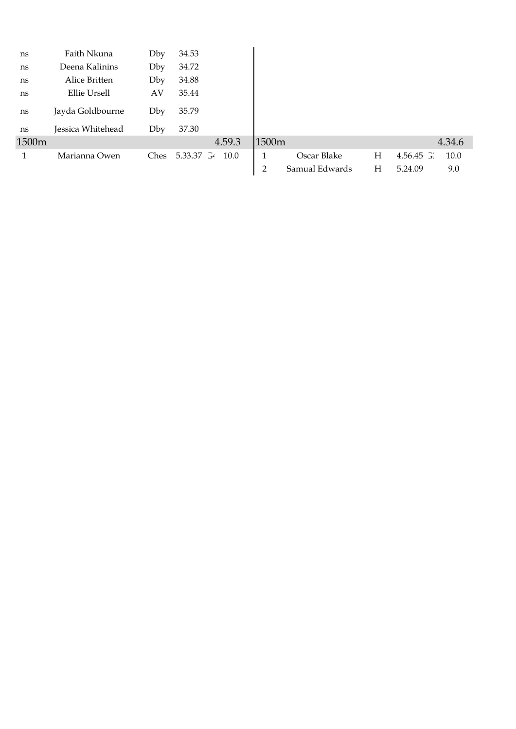| ns    | Faith Nkuna       | Dby  | 34.53           |        |                |                |   |                  |        |
|-------|-------------------|------|-----------------|--------|----------------|----------------|---|------------------|--------|
| ns    | Deena Kalinins    | Dby  | 34.72           |        |                |                |   |                  |        |
| ns    | Alice Britten     | Dby  | 34.88           |        |                |                |   |                  |        |
| ns    | Ellie Ursell      | AV   | 35.44           |        |                |                |   |                  |        |
| ns    | Jayda Goldbourne  | Dby  | 35.79           |        |                |                |   |                  |        |
| ns    | Jessica Whitehead | Dby  | 37.30           |        |                |                |   |                  |        |
| 1500m |                   |      |                 | 4.59.3 | 1500m          |                |   |                  | 4.34.6 |
|       | Marianna Owen     | Ches | 5.33.37 34 10.0 |        | 1              | Oscar Blake    | Н | $4.56.45 \times$ | 10.0   |
|       |                   |      |                 |        | $\overline{2}$ | Samual Edwards | Η | 5.24.09          | 9.0    |
|       |                   |      |                 |        |                |                |   |                  |        |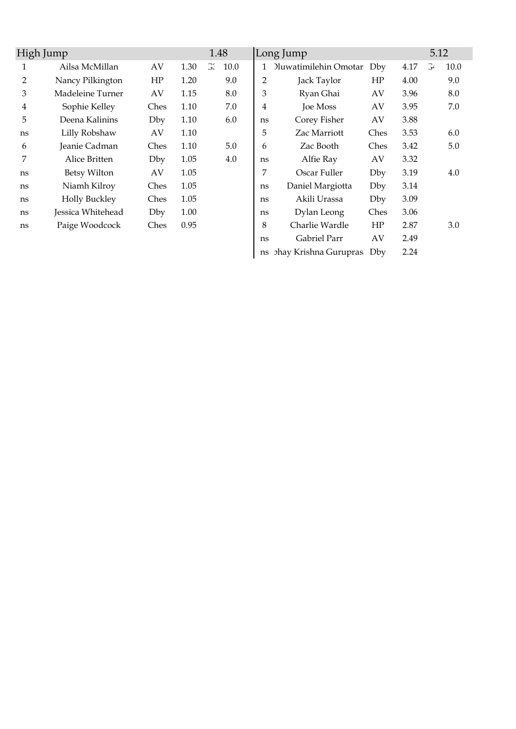| High Jump |                      |      |      | 1.48 |      |                | Long Jump                    |      |      | 5.12 |      |
|-----------|----------------------|------|------|------|------|----------------|------------------------------|------|------|------|------|
| 1         | Ailsa McMillan       | AV   | 1.30 | G.   | 10.0 |                | <b>Jluwatimilehin Omotar</b> | Dby  | 4.17 | G    | 10.0 |
| 2         | Nancy Pilkington     | HP   | 1.20 |      | 9.0  | $\overline{2}$ | Jack Taylor                  | HP   | 4.00 |      | 9.0  |
| 3         | Madeleine Turner     | AV   | 1.15 |      | 8.0  | 3              | Ryan Ghai                    | AV   | 3.96 |      | 8.0  |
| 4         | Sophie Kelley        | Ches | 1.10 |      | 7.0  | 4              | Joe Moss                     | AV   | 3.95 |      | 7.0  |
| 5         | Deena Kalinins       | Dby  | 1.10 |      | 6.0  | ns             | Corey Fisher                 | AV   | 3.88 |      |      |
| ns        | Lilly Robshaw        | AV   | 1.10 |      |      | 5              | Zac Marriott                 | Ches | 3.53 |      | 6.0  |
| 6         | Jeanie Cadman        | Ches | 1.10 |      | 5.0  | 6              | Zac Booth                    | Ches | 3.42 |      | 5.0  |
| 7         | Alice Britten        | Dby  | 1.05 |      | 4.0  | ns             | Alfie Ray                    | AV   | 3.32 |      |      |
| ns        | Betsy Wilton         | AV   | 1.05 |      |      | 7              | Oscar Fuller                 | Dby  | 3.19 |      | 4.0  |
| ns        | Niamh Kilroy         | Ches | 1.05 |      |      | ns             | Daniel Margiotta             | Dby  | 3.14 |      |      |
| ns        | <b>Holly Buckley</b> | Ches | 1.05 |      |      | ns             | Akili Urassa                 | Dby  | 3.09 |      |      |
| ns        | Jessica Whitehead    | Dby  | 1.00 |      |      | ns             | Dylan Leong                  | Ches | 3.06 |      |      |
| ns        | Paige Woodcock       | Ches | 0.95 |      |      | 8              | Charlie Wardle               | HP   | 2.87 |      | 3.0  |
|           |                      |      |      |      |      | ns             | Gabriel Parr                 | AV   | 2.49 |      |      |
|           |                      |      |      |      |      | ns             | <b>phay Krishna Gurupras</b> | Dby  | 2.24 |      |      |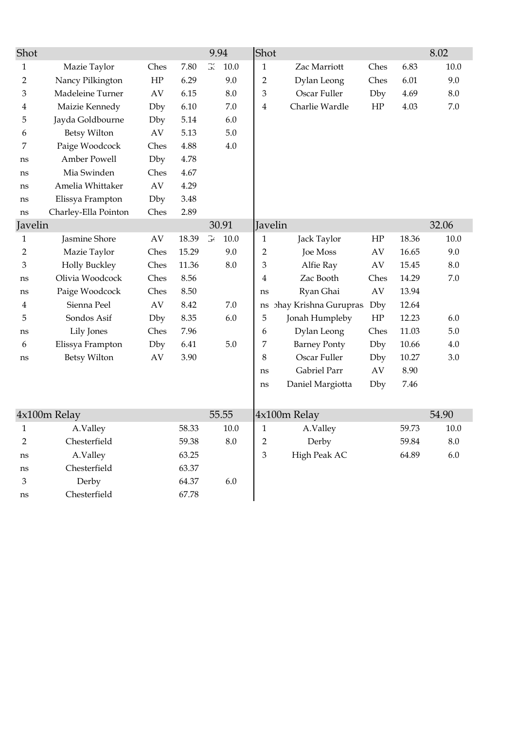| G.<br>$\mathbf{1}$<br>Zac Marriott<br>$\mathbf{1}$<br>Mazie Taylor<br>Ches<br>7.80<br>10.0<br>Ches<br>Nancy Pilkington<br>$\rm{HP}$<br>Dylan Leong<br>$\overline{2}$<br>6.29<br>9.0<br>$\overline{2}$<br>Ches<br>Madeleine Turner<br>6.15<br>8.0<br>Oscar Fuller<br>Dby<br>3<br>AV<br>3<br>Maizie Kennedy<br>Charlie Wardle<br>Dby<br>6.10<br>7.0<br>HP<br>4<br>4<br>Jayda Goldbourne<br>5<br>5.14<br>6.0<br>Dby<br><b>Betsy Wilton</b><br>5.13<br>$5.0\,$<br>AV<br>6<br>7<br>Paige Woodcock<br>4.88<br>$4.0\,$<br>Ches | 6.83<br>10.0<br>6.01<br>9.0<br>8.0<br>4.69<br>4.03<br>7.0 |
|-------------------------------------------------------------------------------------------------------------------------------------------------------------------------------------------------------------------------------------------------------------------------------------------------------------------------------------------------------------------------------------------------------------------------------------------------------------------------------------------------------------------------|-----------------------------------------------------------|
|                                                                                                                                                                                                                                                                                                                                                                                                                                                                                                                         |                                                           |
|                                                                                                                                                                                                                                                                                                                                                                                                                                                                                                                         |                                                           |
|                                                                                                                                                                                                                                                                                                                                                                                                                                                                                                                         |                                                           |
|                                                                                                                                                                                                                                                                                                                                                                                                                                                                                                                         |                                                           |
|                                                                                                                                                                                                                                                                                                                                                                                                                                                                                                                         |                                                           |
|                                                                                                                                                                                                                                                                                                                                                                                                                                                                                                                         |                                                           |
|                                                                                                                                                                                                                                                                                                                                                                                                                                                                                                                         |                                                           |
| Amber Powell<br>4.78<br>Dby<br>ns                                                                                                                                                                                                                                                                                                                                                                                                                                                                                       |                                                           |
| Mia Swinden<br>4.67<br>Ches<br>ns                                                                                                                                                                                                                                                                                                                                                                                                                                                                                       |                                                           |
| Amelia Whittaker<br>4.29<br>AV<br>ns                                                                                                                                                                                                                                                                                                                                                                                                                                                                                    |                                                           |
| Elissya Frampton<br>Dby<br>3.48<br>ns                                                                                                                                                                                                                                                                                                                                                                                                                                                                                   |                                                           |
| 2.89<br>Charley-Ella Pointon<br>Ches<br>ns                                                                                                                                                                                                                                                                                                                                                                                                                                                                              |                                                           |
| Javelin<br>30.91<br>Javelin                                                                                                                                                                                                                                                                                                                                                                                                                                                                                             | 32.06                                                     |
| $\Im'$<br>Jasmine Shore<br>18.39<br>10.0<br>AV<br>$\mathbf{1}$<br>Jack Taylor<br>HP<br>$\mathbf{1}$                                                                                                                                                                                                                                                                                                                                                                                                                     | 10.0<br>18.36                                             |
| Mazie Taylor<br>Joe Moss<br>$\overline{2}$<br>15.29<br>9.0<br>$\overline{2}$<br>AV<br>Ches                                                                                                                                                                                                                                                                                                                                                                                                                              | 16.65<br>9.0                                              |
| 3<br><b>Holly Buckley</b><br>11.36<br>3<br>Ches<br>8.0<br>Alfie Ray<br>AV                                                                                                                                                                                                                                                                                                                                                                                                                                               | 15.45<br>$8.0\,$                                          |
| Olivia Woodcock<br>Ches<br>8.56<br>Zac Booth<br>Ches<br>4<br>ns                                                                                                                                                                                                                                                                                                                                                                                                                                                         | 7.0<br>14.29                                              |
| Paige Woodcock<br>8.50<br>Ryan Ghai<br>$\mathbf{A}\mathbf{V}$<br>Ches<br>ns<br>ns                                                                                                                                                                                                                                                                                                                                                                                                                                       | 13.94                                                     |
| Sienna Peel<br><b>hay Krishna Gurupras</b><br>AV<br>8.42<br>7.0<br>Dby<br>4<br>ns                                                                                                                                                                                                                                                                                                                                                                                                                                       | 12.64                                                     |
| 5<br>Sondos Asif<br>5<br>Jonah Humpleby<br>$\rm{HP}$<br>8.35<br>6.0<br>Dby                                                                                                                                                                                                                                                                                                                                                                                                                                              | 12.23<br>6.0                                              |
| Lily Jones<br>Dylan Leong<br>Ches<br>7.96<br>Ches<br>6<br>ns                                                                                                                                                                                                                                                                                                                                                                                                                                                            | $5.0\,$<br>11.03                                          |
| Elissya Frampton<br>$5.0\,$<br><b>Barney Ponty</b><br>Dby<br>6.41<br>7<br>Dby<br>6                                                                                                                                                                                                                                                                                                                                                                                                                                      | 10.66<br>4.0                                              |
| Oscar Fuller<br><b>Betsy Wilton</b><br>8<br>AV<br>3.90<br>Dby<br>ns                                                                                                                                                                                                                                                                                                                                                                                                                                                     | 10.27<br>3.0                                              |
| Gabriel Parr<br>AV<br>ns                                                                                                                                                                                                                                                                                                                                                                                                                                                                                                | 8.90                                                      |
| Daniel Margiotta<br>Dby<br>ns                                                                                                                                                                                                                                                                                                                                                                                                                                                                                           | 7.46                                                      |
|                                                                                                                                                                                                                                                                                                                                                                                                                                                                                                                         |                                                           |
| 4x100m Relay<br>55.55<br>4x100m Relay                                                                                                                                                                                                                                                                                                                                                                                                                                                                                   | 54.90                                                     |
| 58.33<br>10.0<br>A.Valley<br>$\mathbf{1}$<br>A.Valley<br>$\mathbf{1}$                                                                                                                                                                                                                                                                                                                                                                                                                                                   | 59.73<br>10.0                                             |
| $8.0\,$<br>Chesterfield<br>Derby<br>$\overline{2}$<br>59.38<br>$\overline{c}$                                                                                                                                                                                                                                                                                                                                                                                                                                           | $8.0\,$<br>59.84                                          |
| High Peak AC<br>A.Valley<br>63.25<br>$\ensuremath{\mathfrak{Z}}$<br>ns                                                                                                                                                                                                                                                                                                                                                                                                                                                  | 64.89<br>$6.0\,$                                          |
| Chesterfield<br>63.37<br>ns                                                                                                                                                                                                                                                                                                                                                                                                                                                                                             |                                                           |
| Derby<br>6.0<br>64.37<br>3                                                                                                                                                                                                                                                                                                                                                                                                                                                                                              |                                                           |
| Chesterfield<br>67.78<br>ns                                                                                                                                                                                                                                                                                                                                                                                                                                                                                             |                                                           |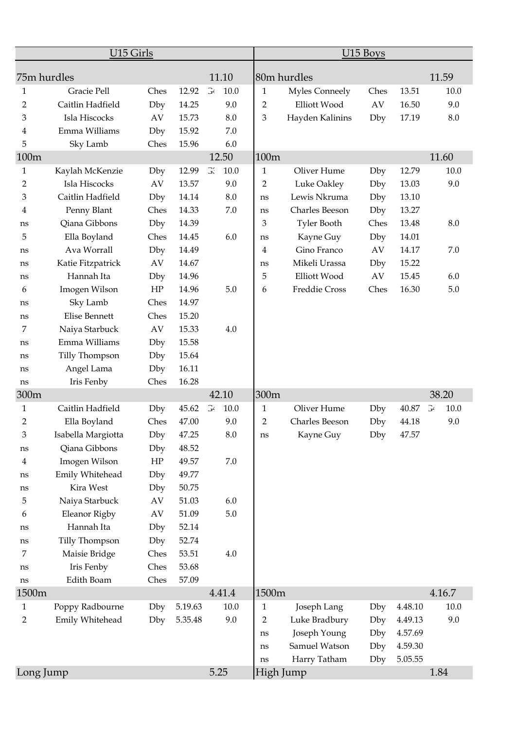|                         | U15 Girls             |      |         |               |                |                       | U15 Boys |         |                        |
|-------------------------|-----------------------|------|---------|---------------|----------------|-----------------------|----------|---------|------------------------|
| 75m hurdles             |                       |      |         | 11.10         |                | 80m hurdles           |          |         | 11.59                  |
| 1                       | Gracie Pell           | Ches | 12.92   | $\Im$<br>10.0 | $\mathbf{1}$   | <b>Myles Conneely</b> | Ches     | 13.51   | 10.0                   |
| $\overline{2}$          | Caitlin Hadfield      | Dby  | 14.25   | 9.0           | $\overline{2}$ | Elliott Wood          | AV       | 16.50   | 9.0                    |
| 3                       | Isla Hiscocks         | AV   | 15.73   | 8.0           | 3              | Hayden Kalinins       | Dby      | 17.19   | 8.0                    |
| 4                       | Emma Williams         | Dby  | 15.92   | 7.0           |                |                       |          |         |                        |
| 5                       | Sky Lamb              | Ches | 15.96   | 6.0           |                |                       |          |         |                        |
| 100m                    |                       |      |         | 12.50         | 100m           |                       |          |         | 11.60                  |
| $\mathbf{1}$            | Kaylah McKenzie       | Dby  | 12.99   | G.<br>10.0    | $\mathbf{1}$   | Oliver Hume           | Dby      | 12.79   | 10.0                   |
| 2                       | Isla Hiscocks         | AV   | 13.57   | 9.0           | 2              | Luke Oakley           | Dby      | 13.03   | 9.0                    |
| 3                       | Caitlin Hadfield      | Dby  | 14.14   | 8.0           | ns             | Lewis Nkruma          | Dby      | 13.10   |                        |
| 4                       | Penny Blant           | Ches | 14.33   | 7.0           | ns             | Charles Beeson        | Dby      | 13.27   |                        |
| ns                      | Qiana Gibbons         | Dby  | 14.39   |               | 3              | <b>Tyler Booth</b>    | Ches     | 13.48   | 8.0                    |
| 5                       | Ella Boyland          | Ches | 14.45   | 6.0           | ns             | Kayne Guy             | Dby      | 14.01   |                        |
| ns                      | Ava Worrall           | Dby  | 14.49   |               | 4              | Gino Franco           | AV       | 14.17   | 7.0                    |
| ns                      | Katie Fitzpatrick     | AV   | 14.67   |               | ns             | Mikeli Urassa         | Dby      | 15.22   |                        |
| ns                      | Hannah Ita            | Dby  | 14.96   |               | 5              | Elliott Wood          | AV       | 15.45   | 6.0                    |
| 6                       | Imogen Wilson         | HP   | 14.96   | 5.0           | 6              | Freddie Cross         | Ches     | 16.30   | 5.0                    |
| ns                      | Sky Lamb              | Ches | 14.97   |               |                |                       |          |         |                        |
| ns                      | Elise Bennett         | Ches | 15.20   |               |                |                       |          |         |                        |
| 7                       | Naiya Starbuck        | AV   | 15.33   | 4.0           |                |                       |          |         |                        |
| ns                      | Emma Williams         | Dby  | 15.58   |               |                |                       |          |         |                        |
| ns                      | <b>Tilly Thompson</b> | Dby  | 15.64   |               |                |                       |          |         |                        |
| ns                      | Angel Lama            | Dby  | 16.11   |               |                |                       |          |         |                        |
| ns                      | Iris Fenby            | Ches | 16.28   |               |                |                       |          |         |                        |
| 300m                    |                       |      |         | 42.10         | 300m           |                       |          |         | 38.20                  |
| $\mathbf{1}$            | Caitlin Hadfield      | Dby  | 45.62   | G<br>10.0     | $\mathbf{1}$   | Oliver Hume           | Dby      | 40.87   | $\mathbb{R}^2$<br>10.0 |
| 2                       | Ella Boyland          | Ches | 47.00   | 9.0           | $\overline{2}$ | Charles Beeson        | Dby      | 44.18   | 9.0                    |
| 3                       | Isabella Margiotta    | Dby  | 47.25   | $8.0\,$       | ns             | Kayne Guy             | Dby      | 47.57   |                        |
| ns                      | Qiana Gibbons         | Dby  | 48.52   |               |                |                       |          |         |                        |
| $\overline{\mathbf{4}}$ | Imogen Wilson         | HP   | 49.57   | $7.0\,$       |                |                       |          |         |                        |
| ns                      | Emily Whitehead       | Dby  | 49.77   |               |                |                       |          |         |                        |
| ns                      | Kira West             | Dby  | 50.75   |               |                |                       |          |         |                        |
| 5                       | Naiya Starbuck        | AV   | 51.03   | 6.0           |                |                       |          |         |                        |
| 6                       | Eleanor Rigby         | AV   | 51.09   | $5.0\,$       |                |                       |          |         |                        |
| ns                      | Hannah Ita            | Dby  | 52.14   |               |                |                       |          |         |                        |
| ns                      | Tilly Thompson        | Dby  | 52.74   |               |                |                       |          |         |                        |
| 7                       | Maisie Bridge         | Ches | 53.51   | 4.0           |                |                       |          |         |                        |
| ns                      | Iris Fenby            | Ches | 53.68   |               |                |                       |          |         |                        |
| ns                      | Edith Boam            | Ches | 57.09   |               |                |                       |          |         |                        |
| 1500m                   |                       |      |         | 4.41.4        | 1500m          |                       |          |         | 4.16.7                 |
| $\mathbf{1}$            | Poppy Radbourne       | Dby  | 5.19.63 | 10.0          | $\mathbf{1}$   | Joseph Lang           | Dby      | 4.48.10 | 10.0                   |
| $\overline{2}$          | Emily Whitehead       | Dby  | 5.35.48 | 9.0           | $\overline{2}$ | Luke Bradbury         | Dby      | 4.49.13 | 9.0                    |
|                         |                       |      |         |               | ns             | Joseph Young          | Dby      | 4.57.69 |                        |
|                         |                       |      |         |               | ns             | Samuel Watson         | Dby      | 4.59.30 |                        |
|                         |                       |      |         |               | ns             | Harry Tatham          | Dby      | 5.05.55 |                        |
| Long Jump               |                       |      |         | 5.25          |                | High Jump             |          |         | 1.84                   |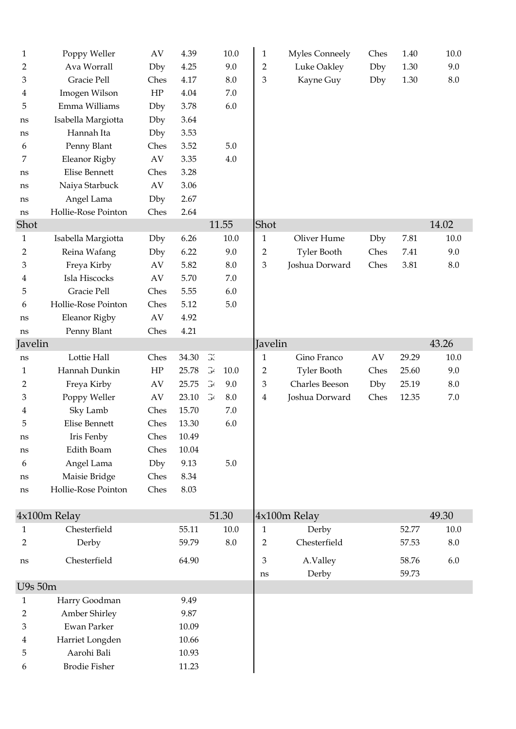| 1            | Poppy Weller                        | AV                     | 4.39  |                       | 10.0    | $\mathbf{1}$   | Myles Conneely     | Ches | 1.40  | 10.0    |
|--------------|-------------------------------------|------------------------|-------|-----------------------|---------|----------------|--------------------|------|-------|---------|
| 2            | Ava Worrall                         | Dby                    | 4.25  |                       | 9.0     | $\overline{2}$ | Luke Oakley        | Dby  | 1.30  | 9.0     |
| 3            | Gracie Pell                         | Ches                   | 4.17  |                       | 8.0     | 3              | Kayne Guy          | Dby  | 1.30  | $8.0\,$ |
| 4            | Imogen Wilson                       | HP                     | 4.04  |                       | 7.0     |                |                    |      |       |         |
| 5            | Emma Williams                       | Dby                    | 3.78  |                       | 6.0     |                |                    |      |       |         |
| ns           | Isabella Margiotta                  | Dby                    | 3.64  |                       |         |                |                    |      |       |         |
| ns           | Hannah Ita                          | Dby                    | 3.53  |                       |         |                |                    |      |       |         |
| 6            | Penny Blant                         | Ches                   | 3.52  |                       | 5.0     |                |                    |      |       |         |
| 7            | Eleanor Rigby                       | $\mathbf{A}\mathbf{V}$ | 3.35  |                       | 4.0     |                |                    |      |       |         |
| ns           | Elise Bennett                       | Ches                   | 3.28  |                       |         |                |                    |      |       |         |
| ns           | Naiya Starbuck                      | AV                     | 3.06  |                       |         |                |                    |      |       |         |
| ns           | Angel Lama                          | Dby                    | 2.67  |                       |         |                |                    |      |       |         |
| ns           | Hollie-Rose Pointon                 | Ches                   | 2.64  |                       |         |                |                    |      |       |         |
| Shot         |                                     |                        |       |                       | 11.55   | Shot           |                    |      |       | 14.02   |
| $\mathbf{1}$ | Isabella Margiotta                  | Dby                    | 6.26  |                       | 10.0    | $\mathbf{1}$   | Oliver Hume        | Dby  | 7.81  | 10.0    |
| 2            | Reina Wafang                        | Dby                    | 6.22  |                       | 9.0     | $\overline{2}$ | <b>Tyler Booth</b> | Ches | 7.41  | 9.0     |
| 3            | Freya Kirby                         | AV                     | 5.82  |                       | 8.0     | $\mathfrak{Z}$ | Joshua Dorward     | Ches | 3.81  | 8.0     |
| 4            | Isla Hiscocks                       | $\mathbf{A}\mathbf{V}$ | 5.70  |                       | $7.0\,$ |                |                    |      |       |         |
| 5            | Gracie Pell                         | Ches                   | 5.55  |                       | 6.0     |                |                    |      |       |         |
| 6            | Hollie-Rose Pointon                 | Ches                   | 5.12  |                       | $5.0\,$ |                |                    |      |       |         |
| ns           | Eleanor Rigby                       | AV                     | 4.92  |                       |         |                |                    |      |       |         |
| ns           | Penny Blant                         | Ches                   | 4.21  |                       |         |                |                    |      |       |         |
| Javelin      |                                     |                        |       |                       |         | Javelin        |                    |      |       | 43.26   |
| ns           | Lottie Hall                         | Ches                   | 34.30 | Э.                    |         | $\mathbf{1}$   | Gino Franco        | AV   | 29.29 | 10.0    |
| 1            | Hannah Dunkin                       | HP                     | 25.78 | $\Im$                 | 10.0    | $\overline{2}$ | <b>Tyler Booth</b> | Ches | 25.60 | 9.0     |
| 2            | Freya Kirby                         | AV                     | 25.75 | $\mathbb{G}^{\prime}$ | 9.0     | 3              | Charles Beeson     | Dby  | 25.19 | 8.0     |
| 3            | Poppy Weller                        | AV                     | 23.10 | $\mathbb{G}^{\prime}$ | 8.0     | 4              | Joshua Dorward     | Ches | 12.35 | $7.0\,$ |
| 4            | Sky Lamb                            | Ches                   | 15.70 |                       | 7.0     |                |                    |      |       |         |
| 5            | Elise Bennett                       | Ches                   | 13.30 |                       | 6.0     |                |                    |      |       |         |
| ns           | Iris Fenby                          | Ches                   | 10.49 |                       |         |                |                    |      |       |         |
| ns           | Edith Boam                          | Ches                   | 10.04 |                       |         |                |                    |      |       |         |
| 6            | Angel Lama                          | Dby                    | 9.13  |                       | $5.0\,$ |                |                    |      |       |         |
| ns           | Maisie Bridge                       | Ches                   | 8.34  |                       |         |                |                    |      |       |         |
| ns           | Hollie-Rose Pointon                 | Ches                   | 8.03  |                       |         |                |                    |      |       |         |
|              |                                     |                        |       |                       |         |                |                    |      |       |         |
|              | 4x100m Relay                        |                        |       |                       | 51.30   |                | 4x100m Relay       |      |       | 49.30   |
| 1            | Chesterfield                        |                        | 55.11 |                       | 10.0    | 1              | Derby              |      | 52.77 | 10.0    |
|              |                                     |                        |       |                       |         |                |                    |      |       | $8.0\,$ |
| 2            | Derby                               |                        | 59.79 |                       | $8.0\,$ | $\overline{2}$ | Chesterfield       |      | 57.53 |         |
| ns           | Chesterfield                        |                        | 64.90 |                       |         | 3              | A.Valley           |      | 58.76 | 6.0     |
|              |                                     |                        |       |                       |         | ns             | Derby              |      | 59.73 |         |
| U9s 50m      |                                     |                        |       |                       |         |                |                    |      |       |         |
| 1            | Harry Goodman                       |                        | 9.49  |                       |         |                |                    |      |       |         |
| 2            | Amber Shirley                       |                        | 9.87  |                       |         |                |                    |      |       |         |
| 3            | Ewan Parker                         |                        | 10.09 |                       |         |                |                    |      |       |         |
| 4            | Harriet Longden                     |                        | 10.66 |                       |         |                |                    |      |       |         |
| 5            | Aarohi Bali<br><b>Brodie Fisher</b> |                        | 10.93 |                       |         |                |                    |      |       |         |